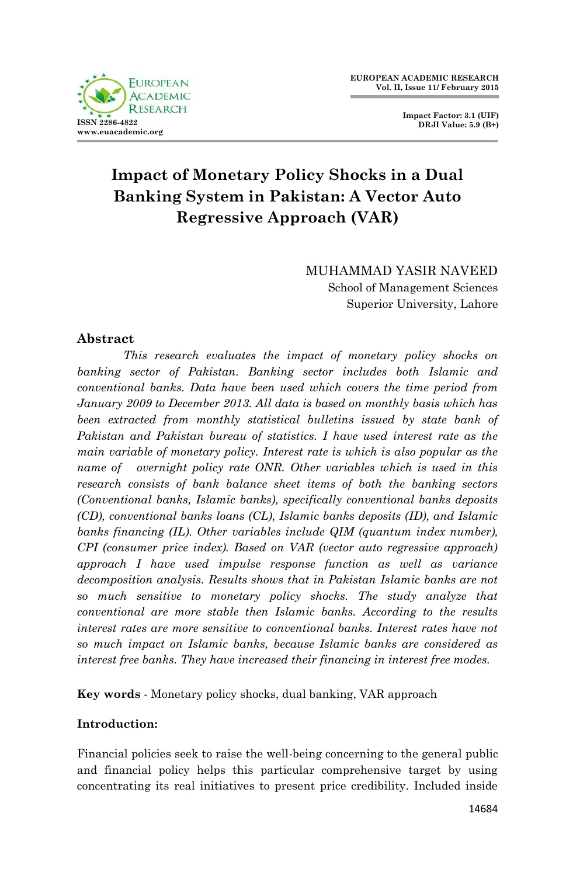

**Impact Factor: 3.1 (UIF) DRJI Value: 5.9 (B+)**

# **Impact of Monetary Policy Shocks in a Dual Banking System in Pakistan: A Vector Auto Regressive Approach (VAR)**

MUHAMMAD YASIR NAVEED School of Management Sciences Superior University, Lahore

# **Abstract**

*This research evaluates the impact of monetary policy shocks on banking sector of Pakistan. Banking sector includes both Islamic and conventional banks. Data have been used which covers the time period from January 2009 to December 2013. All data is based on monthly basis which has been extracted from monthly statistical bulletins issued by state bank of Pakistan and Pakistan bureau of statistics. I have used interest rate as the main variable of monetary policy. Interest rate is which is also popular as the name of overnight policy rate ONR. Other variables which is used in this research consists of bank balance sheet items of both the banking sectors (Conventional banks, Islamic banks), specifically conventional banks deposits (CD), conventional banks loans (CL), Islamic banks deposits (ID), and Islamic banks financing (IL). Other variables include QIM (quantum index number), CPI (consumer price index). Based on VAR (vector auto regressive approach) approach I have used impulse response function as well as variance decomposition analysis. Results shows that in Pakistan Islamic banks are not so much sensitive to monetary policy shocks. The study analyze that conventional are more stable then Islamic banks. According to the results interest rates are more sensitive to conventional banks. Interest rates have not so much impact on Islamic banks, because Islamic banks are considered as interest free banks. They have increased their financing in interest free modes.*

**Key words** - Monetary policy shocks, dual banking, VAR approach

## **Introduction:**

Financial policies seek to raise the well-being concerning to the general public and financial policy helps this particular comprehensive target by using concentrating its real initiatives to present price credibility. Included inside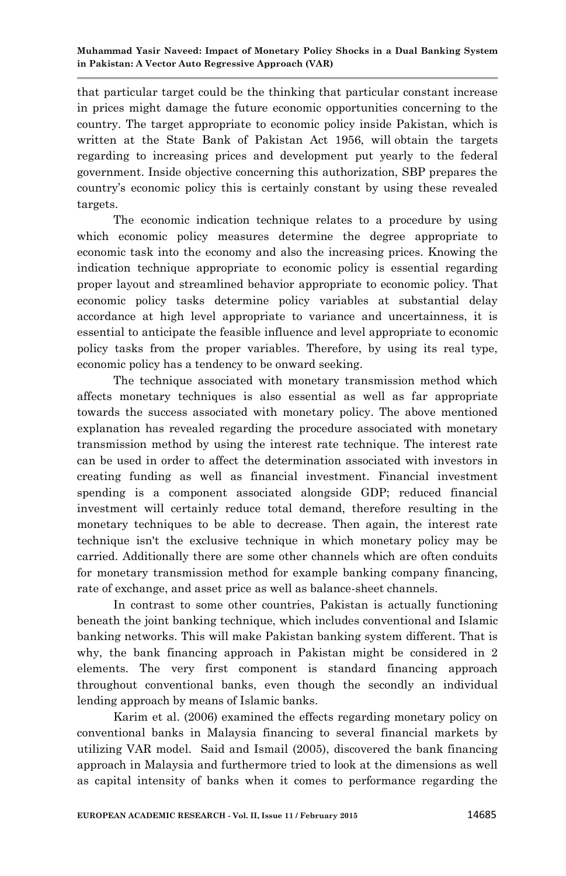that particular target could be the thinking that particular constant increase in prices might damage the future economic opportunities concerning to the country. The target appropriate to economic policy inside Pakistan, which is written at the State Bank of Pakistan Act 1956, will obtain the targets regarding to increasing prices and development put yearly to the federal government. Inside objective concerning this authorization, SBP prepares the country's economic policy this is certainly constant by using these revealed targets.

The economic indication technique relates to a procedure by using which economic policy measures determine the degree appropriate to economic task into the economy and also the increasing prices. Knowing the indication technique appropriate to economic policy is essential regarding proper layout and streamlined behavior appropriate to economic policy. That economic policy tasks determine policy variables at substantial delay accordance at high level appropriate to variance and uncertainness, it is essential to anticipate the feasible influence and level appropriate to economic policy tasks from the proper variables. Therefore, by using its real type, economic policy has a tendency to be onward seeking.

The technique associated with monetary transmission method which affects monetary techniques is also essential as well as far appropriate towards the success associated with monetary policy. The above mentioned explanation has revealed regarding the procedure associated with monetary transmission method by using the interest rate technique. The interest rate can be used in order to affect the determination associated with investors in creating funding as well as financial investment. Financial investment spending is a component associated alongside GDP; reduced financial investment will certainly reduce total demand, therefore resulting in the monetary techniques to be able to decrease. Then again, the interest rate technique isn't the exclusive technique in which monetary policy may be carried. Additionally there are some other channels which are often conduits for monetary transmission method for example banking company financing, rate of exchange, and asset price as well as balance-sheet channels.

In contrast to some other countries, Pakistan is actually functioning beneath the joint banking technique, which includes conventional and Islamic banking networks. This will make Pakistan banking system different. That is why, the bank financing approach in Pakistan might be considered in 2 elements. The very first component is standard financing approach throughout conventional banks, even though the secondly an individual lending approach by means of Islamic banks.

Karim et al. (2006) examined the effects regarding monetary policy on conventional banks in Malaysia financing to several financial markets by utilizing VAR model. Said and Ismail (2005), discovered the bank financing approach in Malaysia and furthermore tried to look at the dimensions as well as capital intensity of banks when it comes to performance regarding the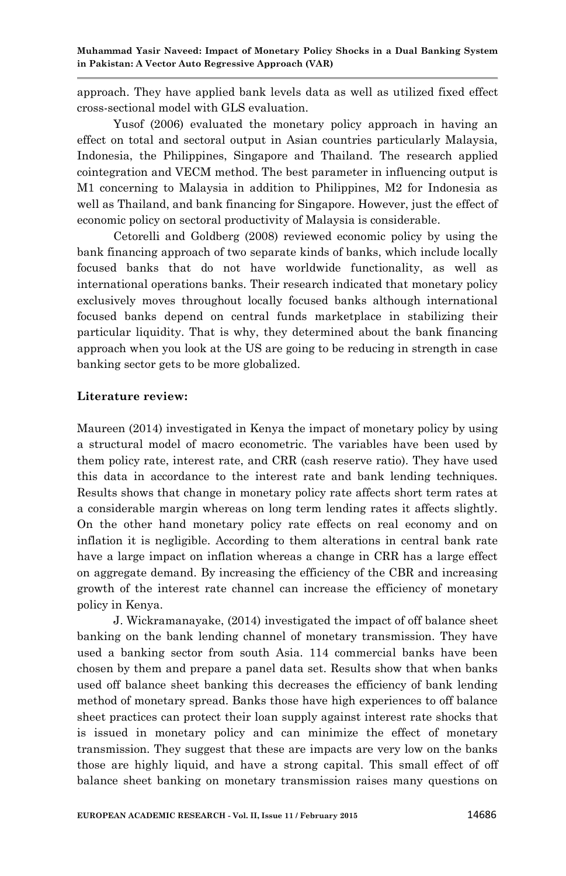approach. They have applied bank levels data as well as utilized fixed effect cross-sectional model with GLS evaluation.

Yusof (2006) evaluated the monetary policy approach in having an effect on total and sectoral output in Asian countries particularly Malaysia, Indonesia, the Philippines, Singapore and Thailand. The research applied cointegration and VECM method. The best parameter in influencing output is M1 concerning to Malaysia in addition to Philippines, M2 for Indonesia as well as Thailand, and bank financing for Singapore. However, just the effect of economic policy on sectoral productivity of Malaysia is considerable.

Cetorelli and Goldberg (2008) reviewed economic policy by using the bank financing approach of two separate kinds of banks, which include locally focused banks that do not have worldwide functionality, as well as international operations banks. Their research indicated that monetary policy exclusively moves throughout locally focused banks although international focused banks depend on central funds marketplace in stabilizing their particular liquidity. That is why, they determined about the bank financing approach when you look at the US are going to be reducing in strength in case banking sector gets to be more globalized.

## **Literature review:**

Maureen (2014) investigated in Kenya the impact of monetary policy by using a structural model of macro econometric. The variables have been used by them policy rate, interest rate, and CRR (cash reserve ratio). They have used this data in accordance to the interest rate and bank lending techniques. Results shows that change in monetary policy rate affects short term rates at a considerable margin whereas on long term lending rates it affects slightly. On the other hand monetary policy rate effects on real economy and on inflation it is negligible. According to them alterations in central bank rate have a large impact on inflation whereas a change in CRR has a large effect on aggregate demand. By increasing the efficiency of the CBR and increasing growth of the interest rate channel can increase the efficiency of monetary policy in Kenya.

J. Wickramanayake, (2014) investigated the impact of off balance sheet banking on the bank lending channel of monetary transmission. They have used a banking sector from south Asia. 114 commercial banks have been chosen by them and prepare a panel data set. Results show that when banks used off balance sheet banking this decreases the efficiency of bank lending method of monetary spread. Banks those have high experiences to off balance sheet practices can protect their loan supply against interest rate shocks that is issued in monetary policy and can minimize the effect of monetary transmission. They suggest that these are impacts are very low on the banks those are highly liquid, and have a strong capital. This small effect of off balance sheet banking on monetary transmission raises many questions on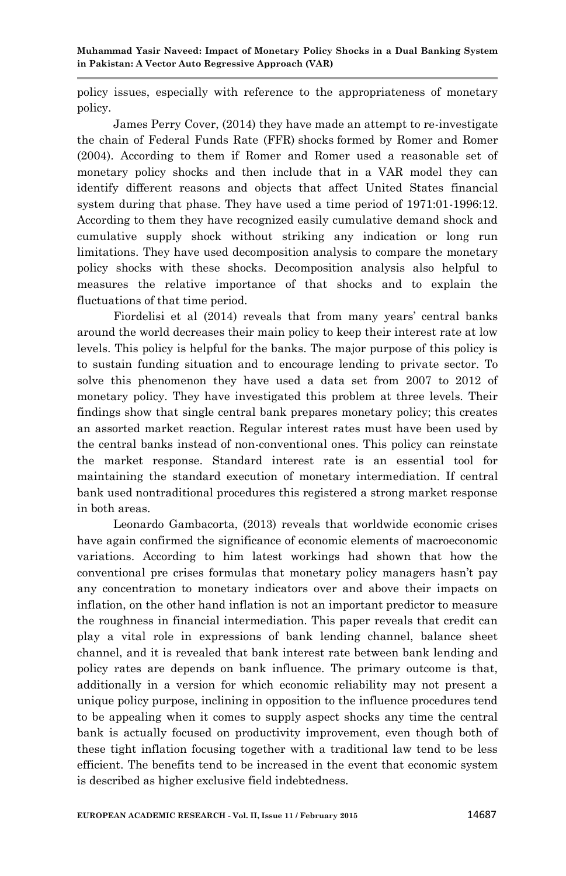**Muhammad Yasir Naveed: Impact of Monetary Policy Shocks in a Dual Banking System in Pakistan: A Vector Auto Regressive Approach (VAR)**

policy issues, especially with reference to the appropriateness of monetary policy.

James Perry Cover, (2014) they have made an attempt to re-investigate the chain of Federal Funds Rate (FFR) shocks formed by Romer and Romer (2004). According to them if Romer and Romer used a reasonable set of monetary policy shocks and then include that in a VAR model they can identify different reasons and objects that affect United States financial system during that phase. They have used a time period of 1971:01-1996:12. According to them they have recognized easily cumulative demand shock and cumulative supply shock without striking any indication or long run limitations. They have used decomposition analysis to compare the monetary policy shocks with these shocks. Decomposition analysis also helpful to measures the relative importance of that shocks and to explain the fluctuations of that time period.

Fiordelisi et al (2014) reveals that from many years' central banks around the world decreases their main policy to keep their interest rate at low levels. This policy is helpful for the banks. The major purpose of this policy is to sustain funding situation and to encourage lending to private sector. To solve this phenomenon they have used a data set from 2007 to 2012 of monetary policy. They have investigated this problem at three levels. Their findings show that single central bank prepares monetary policy; this creates an assorted market reaction. Regular interest rates must have been used by the central banks instead of non-conventional ones. This policy can reinstate the market response. Standard interest rate is an essential tool for maintaining the standard execution of monetary intermediation. If central bank used nontraditional procedures this registered a strong market response in both areas.

Leonardo Gambacorta, (2013) reveals that worldwide economic crises have again confirmed the significance of economic elements of macroeconomic variations. According to him latest workings had shown that how the conventional pre crises formulas that monetary policy managers hasn't pay any concentration to monetary indicators over and above their impacts on inflation, on the other hand inflation is not an important predictor to measure the roughness in financial intermediation. This paper reveals that credit can play a vital role in expressions of bank lending channel, balance sheet channel, and it is revealed that bank interest rate between bank lending and policy rates are depends on bank influence. The primary outcome is that, additionally in a version for which economic reliability may not present a unique policy purpose, inclining in opposition to the influence procedures tend to be appealing when it comes to supply aspect shocks any time the central bank is actually focused on productivity improvement, even though both of these tight inflation focusing together with a traditional law tend to be less efficient. The benefits tend to be increased in the event that economic system is described as higher exclusive field indebtedness.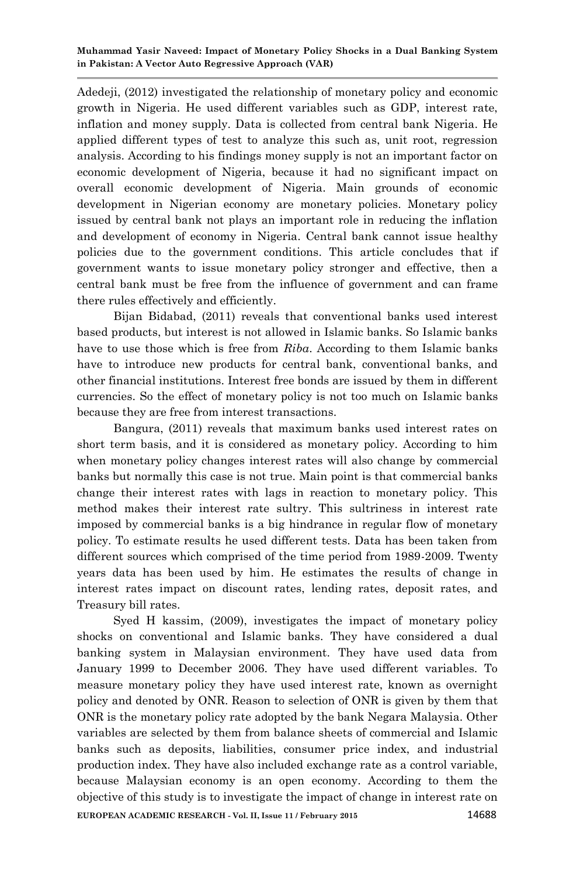Adedeji, (2012) investigated the relationship of monetary policy and economic growth in Nigeria. He used different variables such as GDP, interest rate, inflation and money supply. Data is collected from central bank Nigeria. He applied different types of test to analyze this such as, unit root, regression analysis. According to his findings money supply is not an important factor on economic development of Nigeria, because it had no significant impact on overall economic development of Nigeria. Main grounds of economic development in Nigerian economy are monetary policies. Monetary policy issued by central bank not plays an important role in reducing the inflation and development of economy in Nigeria. Central bank cannot issue healthy policies due to the government conditions. This article concludes that if government wants to issue monetary policy stronger and effective, then a central bank must be free from the influence of government and can frame there rules effectively and efficiently.

Bijan Bidabad, (2011) reveals that conventional banks used interest based products, but interest is not allowed in Islamic banks. So Islamic banks have to use those which is free from *Riba*. According to them Islamic banks have to introduce new products for central bank, conventional banks, and other financial institutions. Interest free bonds are issued by them in different currencies. So the effect of monetary policy is not too much on Islamic banks because they are free from interest transactions.

Bangura, (2011) reveals that maximum banks used interest rates on short term basis, and it is considered as monetary policy. According to him when monetary policy changes interest rates will also change by commercial banks but normally this case is not true. Main point is that commercial banks change their interest rates with lags in reaction to monetary policy. This method makes their interest rate sultry. This sultriness in interest rate imposed by commercial banks is a big hindrance in regular flow of monetary policy. To estimate results he used different tests. Data has been taken from different sources which comprised of the time period from 1989-2009. Twenty years data has been used by him. He estimates the results of change in interest rates impact on discount rates, lending rates, deposit rates, and Treasury bill rates.

**EUROPEAN ACADEMIC RESEARCH - Vol. II, Issue 11 / February 2015** 14688 Syed H kassim, (2009), investigates the impact of monetary policy shocks on conventional and Islamic banks. They have considered a dual banking system in Malaysian environment. They have used data from January 1999 to December 2006. They have used different variables. To measure monetary policy they have used interest rate, known as overnight policy and denoted by ONR. Reason to selection of ONR is given by them that ONR is the monetary policy rate adopted by the bank Negara Malaysia. Other variables are selected by them from balance sheets of commercial and Islamic banks such as deposits, liabilities, consumer price index, and industrial production index. They have also included exchange rate as a control variable, because Malaysian economy is an open economy. According to them the objective of this study is to investigate the impact of change in interest rate on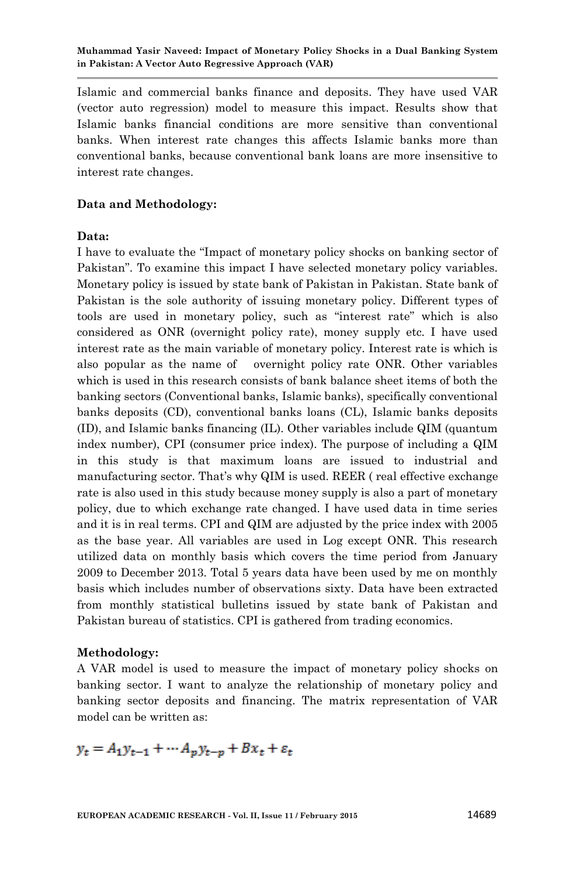Islamic and commercial banks finance and deposits. They have used VAR (vector auto regression) model to measure this impact. Results show that Islamic banks financial conditions are more sensitive than conventional banks. When interest rate changes this affects Islamic banks more than conventional banks, because conventional bank loans are more insensitive to interest rate changes.

## **Data and Methodology:**

## **Data:**

I have to evaluate the "Impact of monetary policy shocks on banking sector of Pakistan". To examine this impact I have selected monetary policy variables. Monetary policy is issued by state bank of Pakistan in Pakistan. State bank of Pakistan is the sole authority of issuing monetary policy. Different types of tools are used in monetary policy, such as "interest rate" which is also considered as ONR (overnight policy rate), money supply etc. I have used interest rate as the main variable of monetary policy. Interest rate is which is also popular as the name of overnight policy rate ONR. Other variables which is used in this research consists of bank balance sheet items of both the banking sectors (Conventional banks, Islamic banks), specifically conventional banks deposits (CD), conventional banks loans (CL), Islamic banks deposits (ID), and Islamic banks financing (IL). Other variables include QIM (quantum index number), CPI (consumer price index). The purpose of including a QIM in this study is that maximum loans are issued to industrial and manufacturing sector. That's why QIM is used. REER ( real effective exchange rate is also used in this study because money supply is also a part of monetary policy, due to which exchange rate changed. I have used data in time series and it is in real terms. CPI and QIM are adjusted by the price index with 2005 as the base year. All variables are used in Log except ONR. This research utilized data on monthly basis which covers the time period from January 2009 to December 2013. Total 5 years data have been used by me on monthly basis which includes number of observations sixty. Data have been extracted from monthly statistical bulletins issued by state bank of Pakistan and Pakistan bureau of statistics. CPI is gathered from trading economics.

## **Methodology:**

A VAR model is used to measure the impact of monetary policy shocks on banking sector. I want to analyze the relationship of monetary policy and banking sector deposits and financing. The matrix representation of VAR model can be written as:

 $y_t = A_1 y_{t-1} + \cdots + A_p y_{t-p} + B x_t + \varepsilon_t$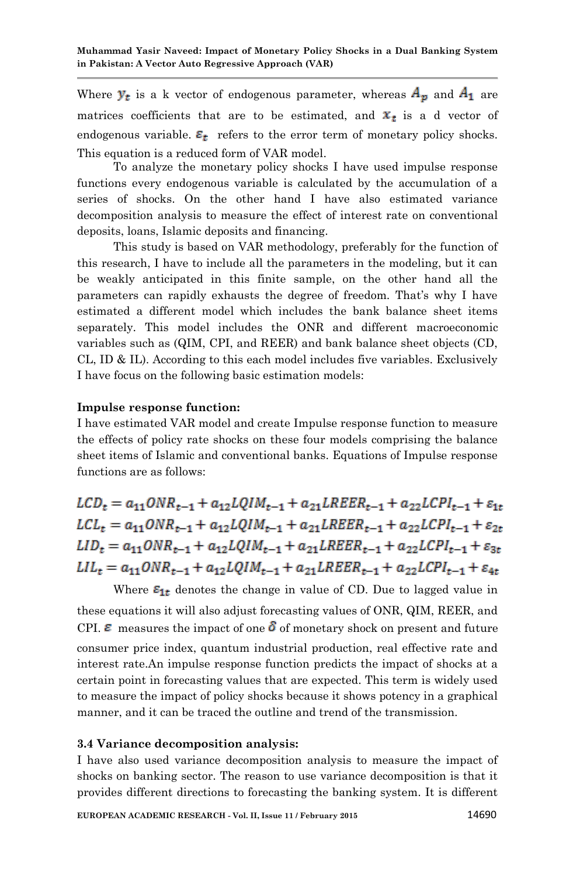Where  $y_t$  is a k vector of endogenous parameter, whereas  $A_p$  and  $A_1$  are matrices coefficients that are to be estimated, and  $x_t$  is a d vector of endogenous variable.  $\varepsilon_t$  refers to the error term of monetary policy shocks. This equation is a reduced form of VAR model.

To analyze the monetary policy shocks I have used impulse response functions every endogenous variable is calculated by the accumulation of a series of shocks. On the other hand I have also estimated variance decomposition analysis to measure the effect of interest rate on conventional deposits, loans, Islamic deposits and financing.

This study is based on VAR methodology, preferably for the function of this research, I have to include all the parameters in the modeling, but it can be weakly anticipated in this finite sample, on the other hand all the parameters can rapidly exhausts the degree of freedom. That's why I have estimated a different model which includes the bank balance sheet items separately. This model includes the ONR and different macroeconomic variables such as (QIM, CPI, and REER) and bank balance sheet objects (CD, CL, ID & IL). According to this each model includes five variables. Exclusively I have focus on the following basic estimation models:

## **Impulse response function:**

I have estimated VAR model and create Impulse response function to measure the effects of policy rate shocks on these four models comprising the balance sheet items of Islamic and conventional banks. Equations of Impulse response functions are as follows:

 $LCD_{t} = a_{11}ONR_{t-1} + a_{12}LQIM_{t-1} + a_{21}LREER_{t-1} + a_{22}LCPI_{t-1} + \varepsilon_{1t}$  $LCL_t = a_{11}ONR_{t-1} + a_{12}LQIM_{t-1} + a_{21}LREER_{t-1} + a_{22}LCPI_{t-1} + \varepsilon_{2t}$  $LID_t = a_{11}ONR_{t-1} + a_{12}LQIM_{t-1} + a_{21}LREER_{t-1} + a_{22}LCPI_{t-1} + \varepsilon_{3t}$  $LIL_t = a_{11}ONR_{t-1} + a_{12}LQIM_{t-1} + a_{21}LREER_{t-1} + a_{22}LCPI_{t-1} + \varepsilon_{4t}$ 

Where  $\epsilon_{1t}$  denotes the change in value of CD. Due to lagged value in these equations it will also adjust forecasting values of ONR, QIM, REER, and CPI.  $\epsilon$  measures the impact of one  $\delta$  of monetary shock on present and future consumer price index, quantum industrial production, real effective rate and interest rate.An impulse response function predicts the impact of shocks at a certain point in forecasting values that are expected. This term is widely used to measure the impact of policy shocks because it shows potency in a graphical manner, and it can be traced the outline and trend of the transmission.

#### **3.4 Variance decomposition analysis:**

I have also used variance decomposition analysis to measure the impact of shocks on banking sector. The reason to use variance decomposition is that it provides different directions to forecasting the banking system. It is different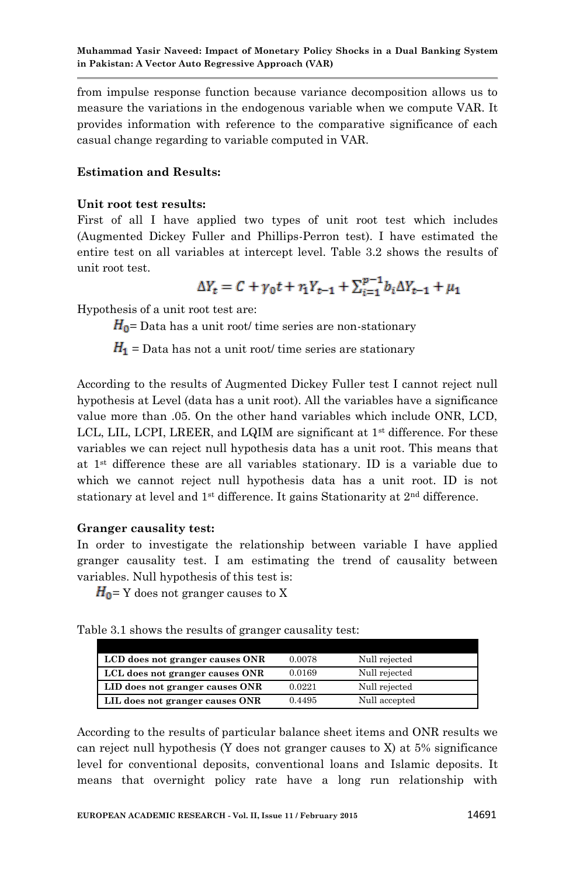from impulse response function because variance decomposition allows us to measure the variations in the endogenous variable when we compute VAR. It provides information with reference to the comparative significance of each casual change regarding to variable computed in VAR.

## **Estimation and Results:**

#### **Unit root test results:**

First of all I have applied two types of unit root test which includes (Augmented Dickey Fuller and Phillips-Perron test). I have estimated the entire test on all variables at intercept level. Table 3.2 shows the results of unit root test.

$$
\Delta Y_t = C + \gamma_0 t + r_1 Y_{t-1} + \sum_{i=1}^{p-1} b_i \Delta Y_{t-1} + \mu_1
$$

Hypothesis of a unit root test are:

 $H_0$ = Data has a unit root/ time series are non-stationary

 $H_1$  = Data has not a unit root/ time series are stationary

According to the results of Augmented Dickey Fuller test I cannot reject null hypothesis at Level (data has a unit root). All the variables have a significance value more than .05. On the other hand variables which include ONR, LCD, LCL, LIL, LCPI, LREER, and LQIM are significant at  $1<sup>st</sup>$  difference. For these variables we can reject null hypothesis data has a unit root. This means that at 1st difference these are all variables stationary. ID is a variable due to which we cannot reject null hypothesis data has a unit root. ID is not stationary at level and 1<sup>st</sup> difference. It gains Stationarity at 2<sup>nd</sup> difference.

#### **Granger causality test:**

In order to investigate the relationship between variable I have applied granger causality test. I am estimating the trend of causality between variables. Null hypothesis of this test is:

 $H_0$ = Y does not granger causes to X

Table 3.1 shows the results of granger causality test:

| LCD does not granger causes ONR | 0.0078 | Null rejected |  |
|---------------------------------|--------|---------------|--|
| LCL does not granger causes ONR | 0.0169 | Null rejected |  |
| LID does not granger causes ONR | 0.0221 | Null rejected |  |
| LIL does not granger causes ONR | 0.4495 | Null accepted |  |

According to the results of particular balance sheet items and ONR results we can reject null hypothesis (Y does not granger causes to X) at 5% significance level for conventional deposits, conventional loans and Islamic deposits. It means that overnight policy rate have a long run relationship with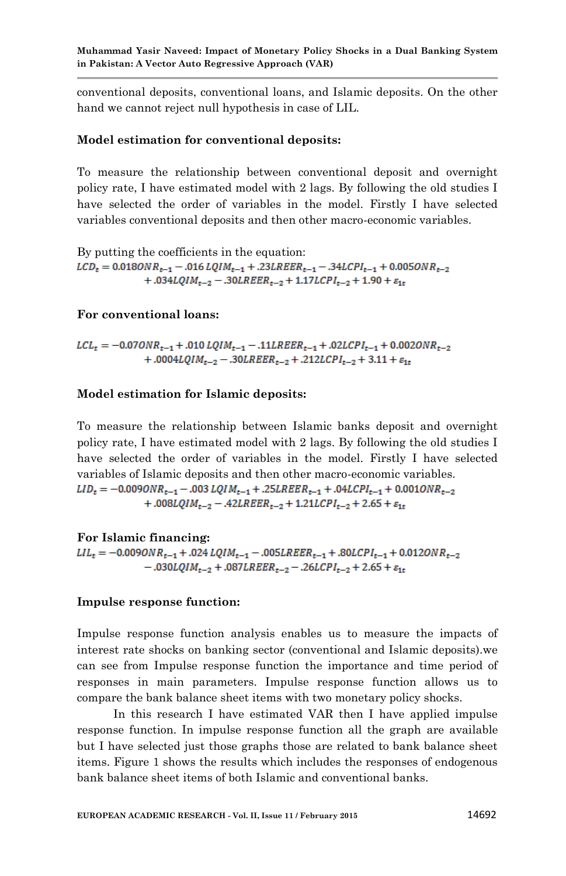conventional deposits, conventional loans, and Islamic deposits. On the other hand we cannot reject null hypothesis in case of LIL.

## **Model estimation for conventional deposits:**

To measure the relationship between conventional deposit and overnight policy rate, I have estimated model with 2 lags. By following the old studies I have selected the order of variables in the model. Firstly I have selected variables conventional deposits and then other macro-economic variables.

By putting the coefficients in the equation:  $LCD_t = 0.0180NR_{t-1} - .016 LQIM_{t-1} + .23LREER_{t-1} - .34LCPI_{t-1} + 0.0050NR_{t-2}$ +.034LQIM<sub>t-2</sub> - .30LREER<sub>t-2</sub> + 1.17LCPI<sub>t-2</sub> + 1.90 +  $\varepsilon_{1t}$ 

#### **For conventional loans:**

$$
LCL_t = -0.070NR_{t-1} + .010 LQIM_{t-1} - .11LREER_{t-1} + .02LCPI_{t-1} + 0.0020NR_{t-2} + .0004LQIM_{t-2} - .30LREER_{t-2} + .212LCPI_{t-2} + 3.11 + \varepsilon_{1t}
$$

#### **Model estimation for Islamic deposits:**

To measure the relationship between Islamic banks deposit and overnight policy rate, I have estimated model with 2 lags. By following the old studies I have selected the order of variables in the model. Firstly I have selected variables of Islamic deposits and then other macro-economic variables.  $LID_t = -0.0090NR_{t-1} - .003 LQIM_{t-1} + .25LREER_{t-1} + .04LCPI_{t-1} + 0.0010NR_{t-2}$ +.008LQIM<sub>t-2</sub> - .42LREER<sub>t-2</sub> + 1.21LCPI<sub>t-2</sub> + 2.65 +  $\varepsilon_{1t}$ 

#### **For Islamic financing:**

 $LIL_t = -0.0090NR_{t-1} + .024 LQIM_{t-1} - .005LREER_{t-1} + .80LCPI_{t-1} + 0.0120NR_{t-2}$  $-.030LQIM_{t-2}+.087LREER_{t-2}-.26LCPI_{t-2}+2.65+\varepsilon_{1t}$ 

#### **Impulse response function:**

Impulse response function analysis enables us to measure the impacts of interest rate shocks on banking sector (conventional and Islamic deposits).we can see from Impulse response function the importance and time period of responses in main parameters. Impulse response function allows us to compare the bank balance sheet items with two monetary policy shocks.

In this research I have estimated VAR then I have applied impulse response function. In impulse response function all the graph are available but I have selected just those graphs those are related to bank balance sheet items. Figure 1 shows the results which includes the responses of endogenous bank balance sheet items of both Islamic and conventional banks.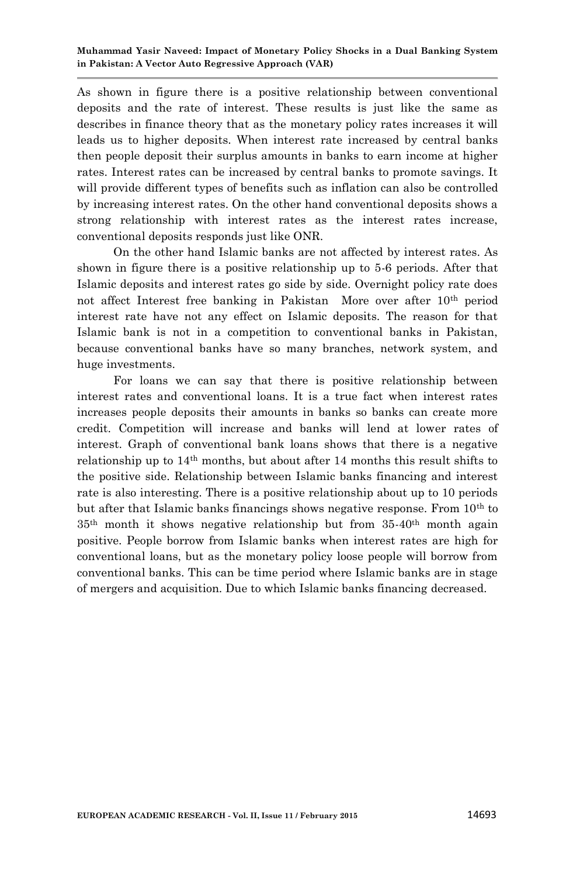As shown in figure there is a positive relationship between conventional deposits and the rate of interest. These results is just like the same as describes in finance theory that as the monetary policy rates increases it will leads us to higher deposits. When interest rate increased by central banks then people deposit their surplus amounts in banks to earn income at higher rates. Interest rates can be increased by central banks to promote savings. It will provide different types of benefits such as inflation can also be controlled by increasing interest rates. On the other hand conventional deposits shows a strong relationship with interest rates as the interest rates increase, conventional deposits responds just like ONR.

On the other hand Islamic banks are not affected by interest rates. As shown in figure there is a positive relationship up to 5-6 periods. After that Islamic deposits and interest rates go side by side. Overnight policy rate does not affect Interest free banking in Pakistan More over after 10th period interest rate have not any effect on Islamic deposits. The reason for that Islamic bank is not in a competition to conventional banks in Pakistan, because conventional banks have so many branches, network system, and huge investments.

For loans we can say that there is positive relationship between interest rates and conventional loans. It is a true fact when interest rates increases people deposits their amounts in banks so banks can create more credit. Competition will increase and banks will lend at lower rates of interest. Graph of conventional bank loans shows that there is a negative relationship up to  $14<sup>th</sup>$  months, but about after 14 months this result shifts to the positive side. Relationship between Islamic banks financing and interest rate is also interesting. There is a positive relationship about up to 10 periods but after that Islamic banks financings shows negative response. From  $10<sup>th</sup>$  to 35th month it shows negative relationship but from 35-40th month again positive. People borrow from Islamic banks when interest rates are high for conventional loans, but as the monetary policy loose people will borrow from conventional banks. This can be time period where Islamic banks are in stage of mergers and acquisition. Due to which Islamic banks financing decreased.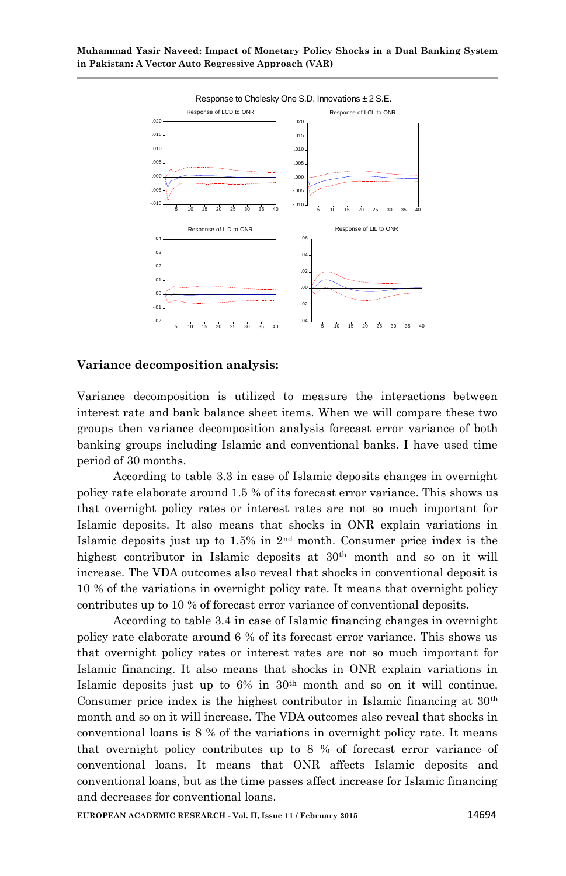

#### **Variance decomposition analysis:**

Variance decomposition is utilized to measure the interactions between interest rate and bank balance sheet items. When we will compare these two groups then variance decomposition analysis forecast error variance of both banking groups including Islamic and conventional banks. I have used time period of 30 months.

According to table 3.3 in case of Islamic deposits changes in overnight policy rate elaborate around 1.5 % of its forecast error variance. This shows us that overnight policy rates or interest rates are not so much important for Islamic deposits. It also means that shocks in ONR explain variations in Islamic deposits just up to 1.5% in 2nd month. Consumer price index is the highest contributor in Islamic deposits at 30<sup>th</sup> month and so on it will increase. The VDA outcomes also reveal that shocks in conventional deposit is 10 % of the variations in overnight policy rate. It means that overnight policy contributes up to 10 % of forecast error variance of conventional deposits.

According to table 3.4 in case of Islamic financing changes in overnight policy rate elaborate around 6 % of its forecast error variance. This shows us that overnight policy rates or interest rates are not so much important for Islamic financing. It also means that shocks in ONR explain variations in Islamic deposits just up to 6% in 30th month and so on it will continue. Consumer price index is the highest contributor in Islamic financing at 30th month and so on it will increase. The VDA outcomes also reveal that shocks in conventional loans is 8 % of the variations in overnight policy rate. It means that overnight policy contributes up to 8 % of forecast error variance of conventional loans. It means that ONR affects Islamic deposits and conventional loans, but as the time passes affect increase for Islamic financing and decreases for conventional loans.

**EUROPEAN ACADEMIC RESEARCH - Vol. II, Issue 11 / February 2015** 14694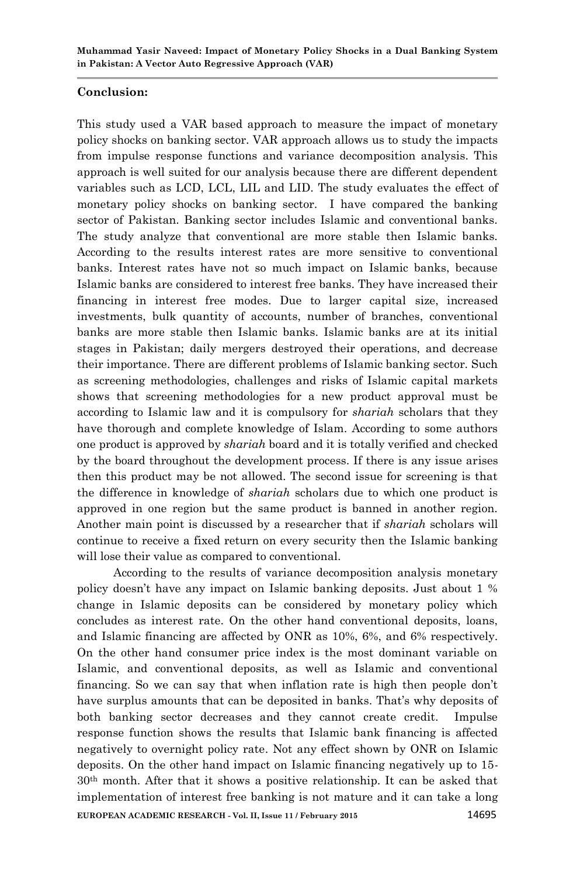## **Conclusion:**

This study used a VAR based approach to measure the impact of monetary policy shocks on banking sector. VAR approach allows us to study the impacts from impulse response functions and variance decomposition analysis. This approach is well suited for our analysis because there are different dependent variables such as LCD, LCL, LIL and LID. The study evaluates the effect of monetary policy shocks on banking sector. I have compared the banking sector of Pakistan. Banking sector includes Islamic and conventional banks. The study analyze that conventional are more stable then Islamic banks. According to the results interest rates are more sensitive to conventional banks. Interest rates have not so much impact on Islamic banks, because Islamic banks are considered to interest free banks. They have increased their financing in interest free modes. Due to larger capital size, increased investments, bulk quantity of accounts, number of branches, conventional banks are more stable then Islamic banks. Islamic banks are at its initial stages in Pakistan; daily mergers destroyed their operations, and decrease their importance. There are different problems of Islamic banking sector. Such as screening methodologies, challenges and risks of Islamic capital markets shows that screening methodologies for a new product approval must be according to Islamic law and it is compulsory for *shariah* scholars that they have thorough and complete knowledge of Islam. According to some authors one product is approved by *shariah* board and it is totally verified and checked by the board throughout the development process. If there is any issue arises then this product may be not allowed. The second issue for screening is that the difference in knowledge of *shariah* scholars due to which one product is approved in one region but the same product is banned in another region. Another main point is discussed by a researcher that if *shariah* scholars will continue to receive a fixed return on every security then the Islamic banking will lose their value as compared to conventional.

**EUROPEAN ACADEMIC RESEARCH - Vol. II, Issue 11 / February 2015** 14695 According to the results of variance decomposition analysis monetary policy doesn't have any impact on Islamic banking deposits. Just about 1 % change in Islamic deposits can be considered by monetary policy which concludes as interest rate. On the other hand conventional deposits, loans, and Islamic financing are affected by ONR as 10%, 6%, and 6% respectively. On the other hand consumer price index is the most dominant variable on Islamic, and conventional deposits, as well as Islamic and conventional financing. So we can say that when inflation rate is high then people don't have surplus amounts that can be deposited in banks. That's why deposits of both banking sector decreases and they cannot create credit. Impulse response function shows the results that Islamic bank financing is affected negatively to overnight policy rate. Not any effect shown by ONR on Islamic deposits. On the other hand impact on Islamic financing negatively up to 15- 30th month. After that it shows a positive relationship. It can be asked that implementation of interest free banking is not mature and it can take a long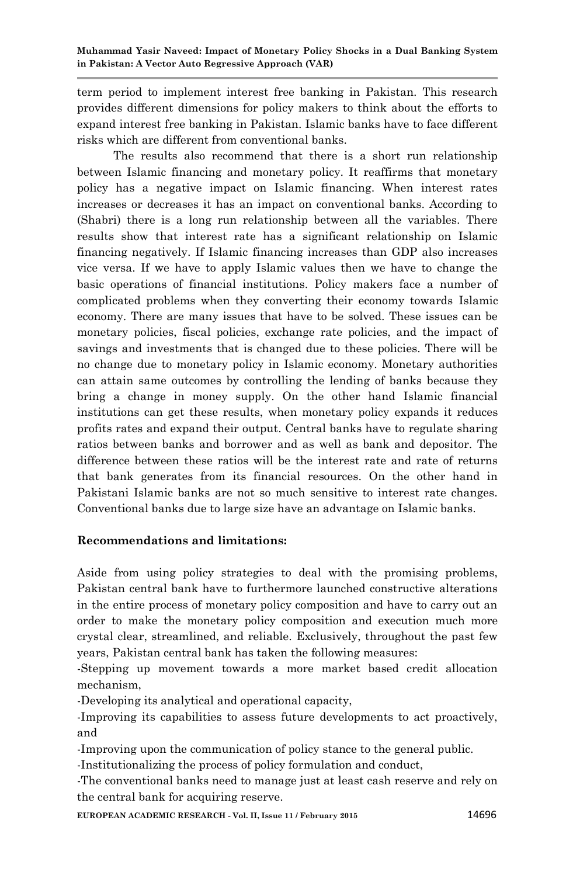term period to implement interest free banking in Pakistan. This research provides different dimensions for policy makers to think about the efforts to expand interest free banking in Pakistan. Islamic banks have to face different risks which are different from conventional banks.

The results also recommend that there is a short run relationship between Islamic financing and monetary policy. It reaffirms that monetary policy has a negative impact on Islamic financing. When interest rates increases or decreases it has an impact on conventional banks. According to (Shabri) there is a long run relationship between all the variables. There results show that interest rate has a significant relationship on Islamic financing negatively. If Islamic financing increases than GDP also increases vice versa. If we have to apply Islamic values then we have to change the basic operations of financial institutions. Policy makers face a number of complicated problems when they converting their economy towards Islamic economy. There are many issues that have to be solved. These issues can be monetary policies, fiscal policies, exchange rate policies, and the impact of savings and investments that is changed due to these policies. There will be no change due to monetary policy in Islamic economy. Monetary authorities can attain same outcomes by controlling the lending of banks because they bring a change in money supply. On the other hand Islamic financial institutions can get these results, when monetary policy expands it reduces profits rates and expand their output. Central banks have to regulate sharing ratios between banks and borrower and as well as bank and depositor. The difference between these ratios will be the interest rate and rate of returns that bank generates from its financial resources. On the other hand in Pakistani Islamic banks are not so much sensitive to interest rate changes. Conventional banks due to large size have an advantage on Islamic banks.

## **Recommendations and limitations:**

Aside from using policy strategies to deal with the promising problems, Pakistan central bank have to furthermore launched constructive alterations in the entire process of monetary policy composition and have to carry out an order to make the monetary policy composition and execution much more crystal clear, streamlined, and reliable. Exclusively, throughout the past few years, Pakistan central bank has taken the following measures:

-Stepping up movement towards a more market based credit allocation mechanism,

-Developing its analytical and operational capacity,

-Improving its capabilities to assess future developments to act proactively, and

-Improving upon the communication of policy stance to the general public.

-Institutionalizing the process of policy formulation and conduct,

-The conventional banks need to manage just at least cash reserve and rely on the central bank for acquiring reserve.

**EUROPEAN ACADEMIC RESEARCH - Vol. II, Issue 11 / February 2015** 14696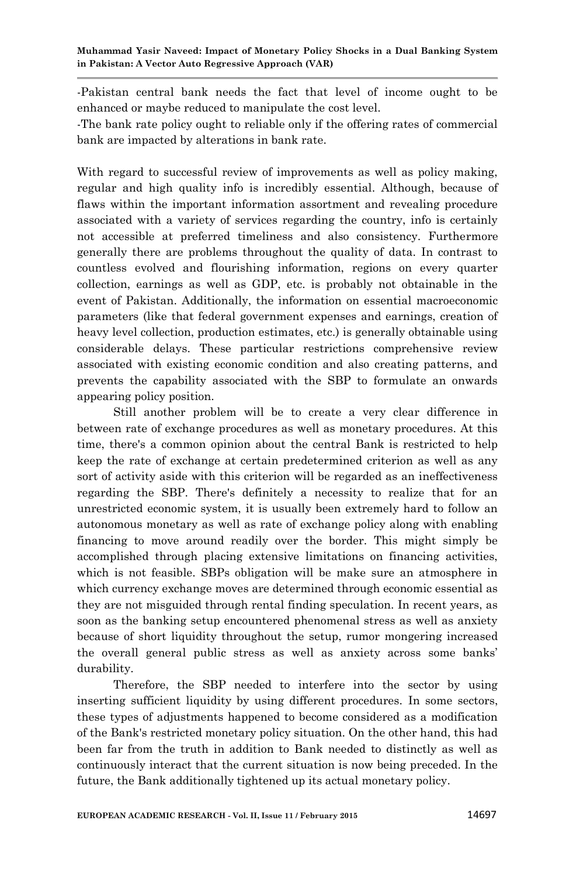-Pakistan central bank needs the fact that level of income ought to be enhanced or maybe reduced to manipulate the cost level.

-The bank rate policy ought to reliable only if the offering rates of commercial bank are impacted by alterations in bank rate.

With regard to successful review of improvements as well as policy making. regular and high quality info is incredibly essential. Although, because of flaws within the important information assortment and revealing procedure associated with a variety of services regarding the country, info is certainly not accessible at preferred timeliness and also consistency. Furthermore generally there are problems throughout the quality of data. In contrast to countless evolved and flourishing information, regions on every quarter collection, earnings as well as GDP, etc. is probably not obtainable in the event of Pakistan. Additionally, the information on essential macroeconomic parameters (like that federal government expenses and earnings, creation of heavy level collection, production estimates, etc.) is generally obtainable using considerable delays. These particular restrictions comprehensive review associated with existing economic condition and also creating patterns, and prevents the capability associated with the SBP to formulate an onwards appearing policy position.

Still another problem will be to create a very clear difference in between rate of exchange procedures as well as monetary procedures. At this time, there's a common opinion about the central Bank is restricted to help keep the rate of exchange at certain predetermined criterion as well as any sort of activity aside with this criterion will be regarded as an ineffectiveness regarding the SBP. There's definitely a necessity to realize that for an unrestricted economic system, it is usually been extremely hard to follow an autonomous monetary as well as rate of exchange policy along with enabling financing to move around readily over the border. This might simply be accomplished through placing extensive limitations on financing activities, which is not feasible. SBPs obligation will be make sure an atmosphere in which currency exchange moves are determined through economic essential as they are not misguided through rental finding speculation. In recent years, as soon as the banking setup encountered phenomenal stress as well as anxiety because of short liquidity throughout the setup, rumor mongering increased the overall general public stress as well as anxiety across some banks' durability.

Therefore, the SBP needed to interfere into the sector by using inserting sufficient liquidity by using different procedures. In some sectors, these types of adjustments happened to become considered as a modification of the Bank's restricted monetary policy situation. On the other hand, this had been far from the truth in addition to Bank needed to distinctly as well as continuously interact that the current situation is now being preceded. In the future, the Bank additionally tightened up its actual monetary policy.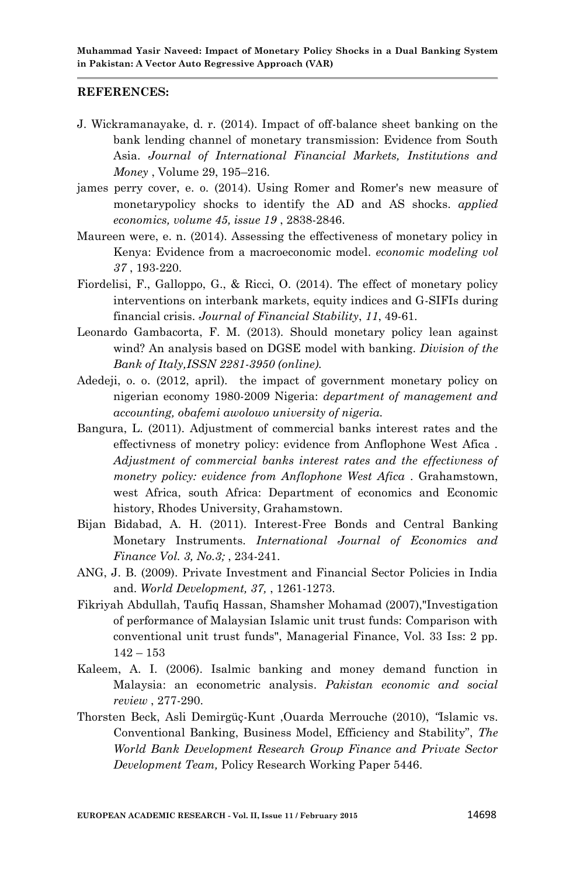#### **REFERENCES:**

- J. Wickramanayake, d. r. (2014). Impact of off-balance sheet banking on the bank lending channel of monetary transmission: Evidence from South Asia. *Journal of International Financial Markets, Institutions and Money* , Volume 29, 195–216.
- james perry cover, e. o. (2014). Using Romer and Romer's new measure of monetarypolicy shocks to identify the AD and AS shocks. *applied economics, volume 45, issue 19* , 2838-2846.
- Maureen were, e. n. (2014). Assessing the effectiveness of monetary policy in Kenya: Evidence from a macroeconomic model. *economic modeling vol 37* , 193-220.
- Fiordelisi, F., Galloppo, G., & Ricci, O. (2014). The effect of monetary policy interventions on interbank markets, equity indices and G-SIFIs during financial crisis. *Journal of Financial Stability*, *11*, 49-61.
- Leonardo Gambacorta, F. M. (2013). Should monetary policy lean against wind? An analysis based on DGSE model with banking. *Division of the Bank of Italy,ISSN 2281-3950 (online).*
- Adedeji, o. o. (2012, april). the impact of government monetary policy on nigerian economy 1980-2009 Nigeria: *department of management and accounting, obafemi awolowo university of nigeria.*
- Bangura, L. (2011). Adjustment of commercial banks interest rates and the effectivness of monetry policy: evidence from Anflophone West Afica . *Adjustment of commercial banks interest rates and the effectivness of monetry policy: evidence from Anflophone West Afica* . Grahamstown, west Africa, south Africa: Department of economics and Economic history, Rhodes University, Grahamstown.
- Bijan Bidabad, A. H. (2011). Interest-Free Bonds and Central Banking Monetary Instruments. *International Journal of Economics and Finance Vol. 3, No.3;* , 234-241.
- ANG, J. B. (2009). Private Investment and Financial Sector Policies in India and. *World Development, 37,* , 1261-1273.
- Fikriyah Abdullah, Taufiq Hassan, Shamsher Mohamad (2007),"Investigation of performance of Malaysian Islamic unit trust funds: Comparison with conventional unit trust funds", Managerial Finance, Vol. 33 Iss: 2 pp.  $142 - 153$
- Kaleem, A. I. (2006). Isalmic banking and money demand function in Malaysia: an econometric analysis. *Pakistan economic and social review* , 277-290.
- Thorsten Beck, Asli Demirgüç-Kunt ,Ouarda Merrouche (2010), *"*Islamic vs. Conventional Banking, Business Model, Efficiency and Stability", *The World Bank Development Research Group Finance and Private Sector Development Team,* Policy Research Working Paper 5446.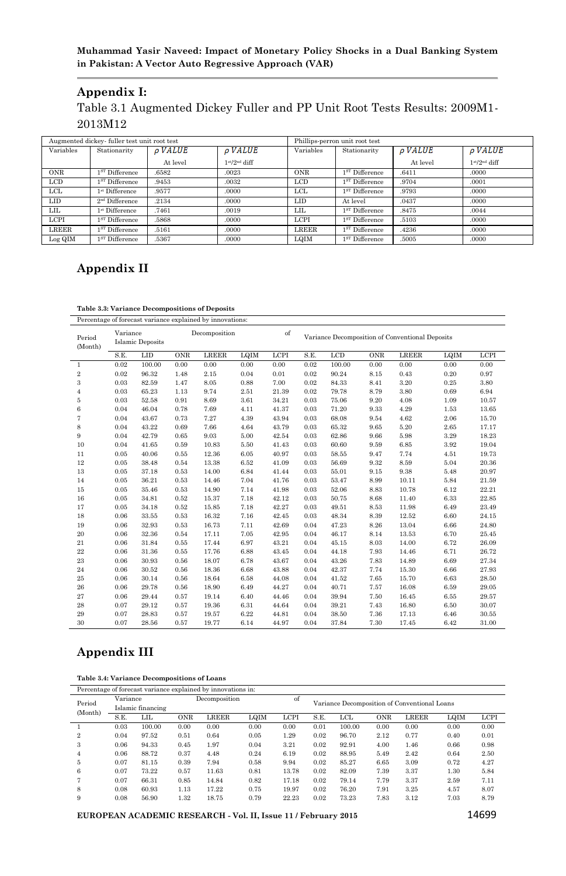## **Muhammad Yasir Naveed: Impact of Monetary Policy Shocks in a Dual Banking System in Pakistan: A Vector Auto Regressive Approach (VAR)**

## **Appendix I:**

Table 3.1 Augmented Dickey Fuller and PP Unit Root Tests Results: 2009M1- 2013M12

|             | Augmented dickey-fuller test unit root test |                     |                     |             | Phillips-perron unit root test |                     |                             |
|-------------|---------------------------------------------|---------------------|---------------------|-------------|--------------------------------|---------------------|-----------------------------|
| Variables   | Stationarity                                | $\rho$ <i>VALUE</i> | $\rho$ <i>VALUE</i> | Variables   | Stationarity                   | $\rho$ <i>VALUE</i> | <b>PVALUE</b>               |
|             |                                             | At level            | $1st/2nd$ diff      |             |                                | At level            | $1$ st/2 <sup>nd</sup> diff |
| <b>ONR</b>  | $1ST$ Difference                            | .6582               | .0023               | <b>ONR</b>  | $1ST$ Difference               | .6411               | .0000                       |
| LCD         | $1ST$ Difference                            | .9453               | .0032               | LCD         | $1ST$ Difference               | .9704               | .0001                       |
| LCL         | 1 <sup>st</sup> Difference                  | .9577               | .0000               | LCL         | $1ST$ Difference               | .9793               | .0000                       |
| <b>LID</b>  | $2nd$ Difference                            | .2134               | .0000               | LID         | At level                       | .0437               | .0000                       |
| LIL.        | $1st$ Difference                            | .7461               | .0019               | LIL         | $1ST$ Difference               | .8475               | .0044                       |
| <b>LCPI</b> | $1ST$ Difference                            | .5868               | .0000               | <b>LCPI</b> | $1ST$ Difference               | .5103               | .0000                       |
| LREER       | $1ST$ Difference                            | .5161               | .0000               | LREER       | $1ST$ Difference               | .4236               | .0000                       |
| Log QIM     | $1ST$ Difference                            | .5367               | .0000               | LQIM        | $1ST$ Difference               | .5005               | .0000                       |

# **Appendix II**

#### **Table 3.3: Variance Decompositions of Deposits**

Percentage of forecast variance explained by innovations:

| Period<br>(Month) | Variance<br><b>Islamic Deposits</b> |        |      | Decomposition |      | of          |      |        |      | Variance Decomposition of Conventional Deposits |      |       |
|-------------------|-------------------------------------|--------|------|---------------|------|-------------|------|--------|------|-------------------------------------------------|------|-------|
|                   | S.E.                                | LID    | ONR  | <b>LREER</b>  | LQIM | <b>LCPI</b> | S.E. | LCD    | ONR  | <b>LREER</b>                                    | LQIM | LCPI  |
| 1                 | 0.02                                | 100.00 | 0.00 | 0.00          | 0.00 | 0.00        | 0.02 | 100.00 | 0.00 | 0.00                                            | 0.00 | 0.00  |
| $\rm _2$          | 0.02                                | 96.32  | 1.48 | 2.15          | 0.04 | 0.01        | 0.02 | 90.24  | 8.15 | 0.43                                            | 0.20 | 0.97  |
| 3                 | 0.03                                | 82.59  | 1.47 | 8.05          | 0.88 | 7.00        | 0.02 | 84.33  | 8.41 | 3.20                                            | 0.25 | 3.80  |
| $\overline{4}$    | 0.03                                | 65.23  | 1.13 | 9.74          | 2.51 | 21.39       | 0.02 | 79.78  | 8.79 | 3.80                                            | 0.69 | 6.94  |
| 5                 | 0.03                                | 52.58  | 0.91 | 8.69          | 3.61 | 34.21       | 0.03 | 75.06  | 9.20 | 4.08                                            | 1.09 | 10.57 |
| 6                 | 0.04                                | 46.04  | 0.78 | 7.69          | 4.11 | 41.37       | 0.03 | 71.20  | 9.33 | 4.29                                            | 1.53 | 13.65 |
| $\overline{7}$    | 0.04                                | 43.67  | 0.73 | 7.27          | 4.39 | 43.94       | 0.03 | 68.08  | 9.54 | 4.62                                            | 2.06 | 15.70 |
| 8                 | 0.04                                | 43.22  | 0.69 | 7.66          | 4.64 | 43.79       | 0.03 | 65.32  | 9.65 | 5.20                                            | 2.65 | 17.17 |
| 9                 | 0.04                                | 42.79  | 0.65 | 9.03          | 5.00 | 42.54       | 0.03 | 62.86  | 9.66 | 5.98                                            | 3.29 | 18.23 |
| 10                | 0.04                                | 41.65  | 0.59 | 10.83         | 5.50 | 41.43       | 0.03 | 60.60  | 9.59 | 6.85                                            | 3.92 | 19.04 |
| 11                | 0.05                                | 40.06  | 0.55 | 12.36         | 6.05 | 40.97       | 0.03 | 58.55  | 9.47 | 7.74                                            | 4.51 | 19.73 |
| 12                | 0.05                                | 38.48  | 0.54 | 13.38         | 6.52 | 41.09       | 0.03 | 56.69  | 9.32 | 8.59                                            | 5.04 | 20.36 |
| 13                | 0.05                                | 37.18  | 0.53 | 14.00         | 6.84 | 41.44       | 0.03 | 55.01  | 9.15 | 9.38                                            | 5.48 | 20.97 |
| 14                | 0.05                                | 36.21  | 0.53 | 14.46         | 7.04 | 41.76       | 0.03 | 53.47  | 8.99 | 10.11                                           | 5.84 | 21.59 |
| 15                | 0.05                                | 35.46  | 0.53 | 14.90         | 7.14 | 41.98       | 0.03 | 52.06  | 8.83 | 10.78                                           | 6.12 | 22.21 |
| 16                | 0.05                                | 34.81  | 0.52 | 15.37         | 7.18 | 42.12       | 0.03 | 50.75  | 8.68 | 11.40                                           | 6.33 | 22.85 |
| 17                | 0.05                                | 34.18  | 0.52 | 15.85         | 7.18 | 42.27       | 0.03 | 49.51  | 8.53 | 11.98                                           | 6.49 | 23.49 |
| 18                | 0.06                                | 33.55  | 0.53 | 16.32         | 7.16 | 42.45       | 0.03 | 48.34  | 8.39 | 12.52                                           | 6.60 | 24.15 |
| 19                | 0.06                                | 32.93  | 0.53 | 16.73         | 7.11 | 42.69       | 0.04 | 47.23  | 8.26 | 13.04                                           | 6.66 | 24.80 |
| 20                | 0.06                                | 32.36  | 0.54 | 17.11         | 7.05 | 42.95       | 0.04 | 46.17  | 8.14 | 13.53                                           | 6.70 | 25.45 |
| 21                | 0.06                                | 31.84  | 0.55 | 17.44         | 6.97 | 43.21       | 0.04 | 45.15  | 8.03 | 14.00                                           | 6.72 | 26.09 |
| 22                | 0.06                                | 31.36  | 0.55 | 17.76         | 6.88 | 43.45       | 0.04 | 44.18  | 7.93 | 14.46                                           | 6.71 | 26.72 |
| 23                | 0.06                                | 30.93  | 0.56 | 18.07         | 6.78 | 43.67       | 0.04 | 43.26  | 7.83 | 14.89                                           | 6.69 | 27.34 |
| 24                | 0.06                                | 30.52  | 0.56 | 18.36         | 6.68 | 43.88       | 0.04 | 42.37  | 7.74 | 15.30                                           | 6.66 | 27.93 |
| 25                | 0.06                                | 30.14  | 0.56 | 18.64         | 6.58 | 44.08       | 0.04 | 41.52  | 7.65 | 15.70                                           | 6.63 | 28.50 |
| 26                | 0.06                                | 29.78  | 0.56 | 18.90         | 6.49 | 44.27       | 0.04 | 40.71  | 7.57 | 16.08                                           | 6.59 | 29.05 |
| 27                | 0.06                                | 29.44  | 0.57 | 19.14         | 6.40 | 44.46       | 0.04 | 39.94  | 7.50 | 16.45                                           | 6.55 | 29.57 |
| 28                | 0.07                                | 29.12  | 0.57 | 19.36         | 6.31 | 44.64       | 0.04 | 39.21  | 7.43 | 16.80                                           | 6.50 | 30.07 |
| 29                | 0.07                                | 28.83  | 0.57 | 19.57         | 6.22 | 44.81       | 0.04 | 38.50  | 7.36 | 17.13                                           | 6.46 | 30.55 |
| 30                | 0.07                                | 28.56  | 0.57 | 19.77         | 6.14 | 44.97       | 0.04 | 37.84  | 7.30 | 17.45                                           | 6.42 | 31.00 |

## **Appendix III**

**Table 3.4: Variance Decompositions of Loans**

Percentage of forecast variance explained by innovations in:

| Period         |                                                                              | Variance<br>Islamic financing |            | Decomposition |      |             | Variance Decomposition of Conventional Loans |        |            |              |      |             |  |
|----------------|------------------------------------------------------------------------------|-------------------------------|------------|---------------|------|-------------|----------------------------------------------|--------|------------|--------------|------|-------------|--|
| (Month)        | S.E.<br>0.03<br>0.04<br>0.06<br>0.06<br>0.07<br>0.07<br>0.07<br>0.08<br>0.08 | LIL                           | <b>ONR</b> | <b>LREER</b>  | LQIM | <b>LCPI</b> | S.E.                                         | LCL    | <b>ONR</b> | <b>LREER</b> | LOIM | <b>LCPI</b> |  |
|                |                                                                              | 100.00                        | 0.00       | 0.00          | 0.00 | 0.00        | 0.01                                         | 100.00 | 0.00       | 0.00         | 0.00 | 0.00        |  |
| $\overline{2}$ |                                                                              | 97.52                         | 0.51       | 0.64          | 0.05 | 1.29        | 0.02                                         | 96.70  | 2.12       | 0.77         | 0.40 | 0.01        |  |
| 3              |                                                                              | 94.33                         | 0.45       | 1.97          | 0.04 | 3.21        | 0.02                                         | 92.91  | 4.00       | 1.46         | 0.66 | 0.98        |  |
| 4              |                                                                              | 88.72                         | 0.37       | 4.48          | 0.24 | 6.19        | 0.02                                         | 88.95  | 5.49       | 2.42         | 0.64 | 2.50        |  |
| 5              |                                                                              | 81.15                         | 0.39       | 7.94          | 0.58 | 9.94        | 0.02                                         | 85.27  | 6.65       | 3.09         | 0.72 | 4.27        |  |
| 6              |                                                                              | 73.22                         | 0.57       | 11.63         | 0.81 | 13.78       | 0.02                                         | 82.09  | 7.39       | 3.37         | 1.30 | 5.84        |  |
| $\overline{ }$ |                                                                              | 66.31                         | 0.85       | 14.84         | 0.82 | 17.18       | 0.02                                         | 79.14  | 7.79       | 3.37         | 2.59 | 7.11        |  |
| 8              |                                                                              | 60.93                         | 1.13       | 17.22         | 0.75 | 19.97       | 0.02                                         | 76.20  | 7.91       | 3.25         | 4.57 | 8.07        |  |
| 9              |                                                                              | 56.90                         | 1.32       | 18.75         | 0.79 | 22.23       | 0.02                                         | 73.23  | 7.83       | 3.12         | 7.03 | 8.79        |  |

**EUROPEAN ACADEMIC RESEARCH - Vol. II, Issue 11 / February 2015** 14699